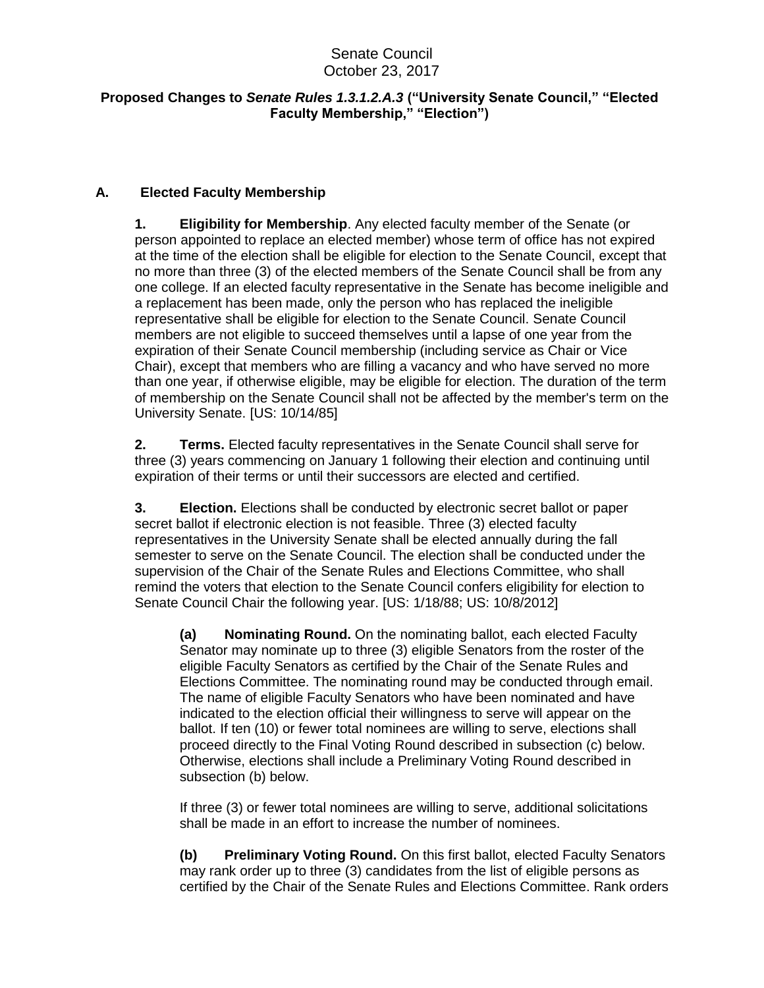## Senate Council October 23, 2017

## **Proposed Changes to** *Senate Rules 1.3.1.2.A.3* **("University Senate Council," "Elected Faculty Membership," "Election")**

## **A. Elected Faculty Membership**

**1. Eligibility for Membership**. Any elected faculty member of the Senate (or person appointed to replace an elected member) whose term of office has not expired at the time of the election shall be eligible for election to the Senate Council, except that no more than three (3) of the elected members of the Senate Council shall be from any one college. If an elected faculty representative in the Senate has become ineligible and a replacement has been made, only the person who has replaced the ineligible representative shall be eligible for election to the Senate Council. Senate Council members are not eligible to succeed themselves until a lapse of one year from the expiration of their Senate Council membership (including service as Chair or Vice Chair), except that members who are filling a vacancy and who have served no more than one year, if otherwise eligible, may be eligible for election. The duration of the term of membership on the Senate Council shall not be affected by the member's term on the University Senate. [US: 10/14/85]

**2. Terms.** Elected faculty representatives in the Senate Council shall serve for three (3) years commencing on January 1 following their election and continuing until expiration of their terms or until their successors are elected and certified.

**3. Election.** Elections shall be conducted by electronic secret ballot or paper secret ballot if electronic election is not feasible. Three (3) elected faculty representatives in the University Senate shall be elected annually during the fall semester to serve on the Senate Council. The election shall be conducted under the supervision of the Chair of the Senate Rules and Elections Committee, who shall remind the voters that election to the Senate Council confers eligibility for election to Senate Council Chair the following year. [US: 1/18/88; US: 10/8/2012]

**(a) Nominating Round.** On the nominating ballot, each elected Faculty Senator may nominate up to three (3) eligible Senators from the roster of the eligible Faculty Senators as certified by the Chair of the Senate Rules and Elections Committee. The nominating round may be conducted through email. The name of eligible Faculty Senators who have been nominated and have indicated to the election official their willingness to serve will appear on the ballot. If ten (10) or fewer total nominees are willing to serve, elections shall proceed directly to the Final Voting Round described in subsection (c) below. Otherwise, elections shall include a Preliminary Voting Round described in subsection (b) below.

If three (3) or fewer total nominees are willing to serve, additional solicitations shall be made in an effort to increase the number of nominees.

**(b) Preliminary Voting Round.** On this first ballot, elected Faculty Senators may rank order up to three (3) candidates from the list of eligible persons as certified by the Chair of the Senate Rules and Elections Committee. Rank orders